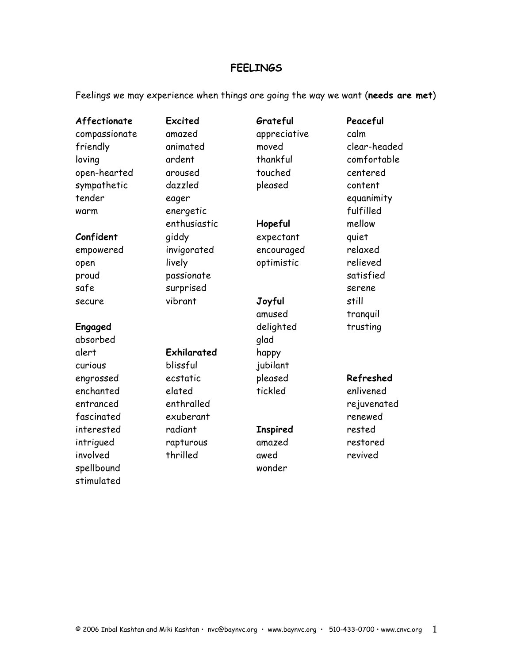## **FEELINGS**

Feelings we may experience when things are going the way we want (**needs are met**)

| Affectionate  | Excited      | Grateful        | Peaceful     |
|---------------|--------------|-----------------|--------------|
| compassionate | amazed       | appreciative    | calm         |
| friendly      | animated     | moved           | clear-headed |
| loving        | ardent       | thankful        | comfortable  |
| open-hearted  | aroused      | touched         | centered     |
| sympathetic   | dazzled      | pleased         | content      |
| tender        | eager        |                 | equanimity   |
| warm          | energetic    |                 | fulfilled    |
|               | enthusiastic | Hopeful         | mellow       |
| Confident     | giddy        | expectant       | quiet        |
| empowered     | invigorated  | encouraged      | relaxed      |
| open          | lively       | optimistic      | relieved     |
| proud         | passionate   |                 | satisfied    |
| safe          | surprised    |                 | serene       |
| secure        | vibrant      | Joyful          | still        |
|               |              | amused          | tranquil     |
| Engaged       |              | delighted       | trusting     |
| absorbed      |              | glad            |              |
| alert         | Exhilarated  | happy           |              |
| curious       | blissful     | jubilant        |              |
| engrossed     | ecstatic     | pleased         | Refreshed    |
| enchanted     | elated       | tickled         | enlivened    |
| entranced     | enthralled   |                 | rejuvenated  |
| fascinated    | exuberant    |                 | renewed      |
| interested    | radiant      | <b>Inspired</b> | rested       |
| intrigued     | rapturous    | amazed          | restored     |
| involved      | thrilled     | awed            | revived      |
| spellbound    |              | wonder          |              |
| stimulated    |              |                 |              |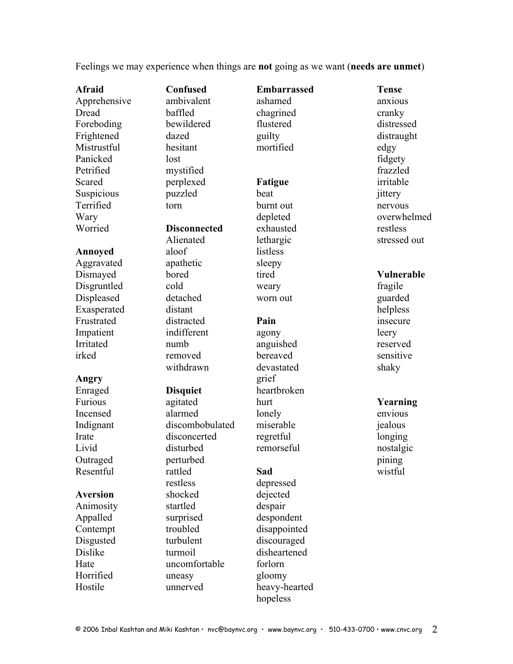Feelings we may experience when things are **not** going as we want (**needs are unmet**)

Impatient indifferent agony leery Irritated numb anguished reserved

### Angry grief

**Afraid Confused Embarrassed Tense** Apprehensive ambivalent ashamed anxious Dread baffled chagrined cranky Foreboding bewildered flustered distressed Frightened dazed guilty distraught Mistrustful hesitant mortified edgy Panicked lost lost fidgety Petrified mystified frazzled Scared perplexed **Fatigue** irritable Suspicious puzzled beat iittery Terrified torn burnt out nervous Worried **Disconnected** exhausted restless Annoved aloof listless Aggravated apathetic sleepy Dismayed bored tired **Vulnerable** Disgruntled cold weary fragile Displeased detached worn out guarded Exasperated distant distant helpless Frustrated distracted **Pain** insecure

irked removed bereaved sensitive

Incensed alarmed lonely envious Indignant discombobulated miserable jealous Irate disconcerted regretful longing Livid disturbed remorseful nostalgic Outraged perturbed perturbed pining Resentful rattled **Sad** wistful restless depressed Aversion shocked dejected Animosity startled despair Appalled surprised despondent Contempt troubled disappointed Disgusted turbulent discouraged Dislike turmoil disheartened Hate uncomfortable forlorn Horrified uneasy gloomy Hostile unnerved heavy-hearted

withdrawn devastated shaky Enraged **Disquiet** heartbroken Furious agitated hurt **Yearning**

Wary depleted overwhelmed Alienated lethargic stressed out

© 2006 Inbal Kashtan and Miki Kashtan • nvc@baynvc.org • www.baynvc.org • 510-433-0700 • www.cnvc.org 2

hopeless